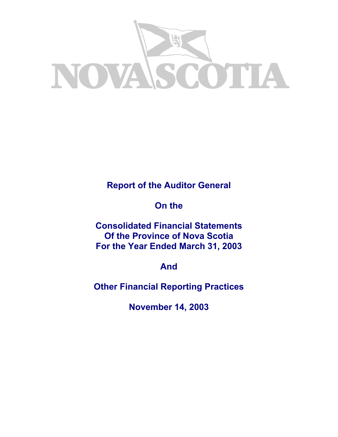

**Report of the Auditor General** 

**On the** 

**Consolidated Financial Statements Of the Province of Nova Scotia For the Year Ended March 31, 2003** 

**And** 

**Other Financial Reporting Practices** 

**November 14, 2003**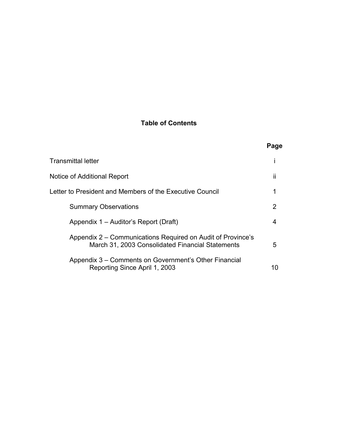# **Table of Contents**

|                                                                                                                 | Page |
|-----------------------------------------------------------------------------------------------------------------|------|
| Transmittal letter                                                                                              |      |
| Notice of Additional Report                                                                                     | ii   |
| Letter to President and Members of the Executive Council                                                        |      |
| <b>Summary Observations</b>                                                                                     | 2    |
| Appendix 1 – Auditor's Report (Draft)                                                                           | 4    |
| Appendix 2 – Communications Required on Audit of Province's<br>March 31, 2003 Consolidated Financial Statements | 5    |
| Appendix 3 – Comments on Government's Other Financial<br>Reporting Since April 1, 2003                          | 10   |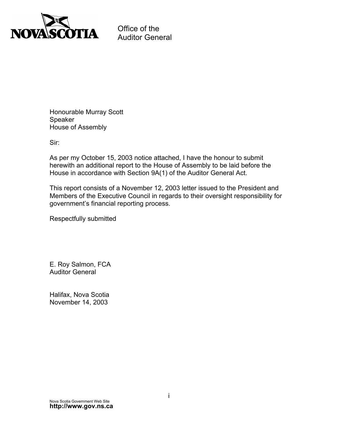

Office of the Auditor General

Honourable Murray Scott Speaker House of Assembly

Sir:

As per my October 15, 2003 notice attached, I have the honour to submit herewith an additional report to the House of Assembly to be laid before the House in accordance with Section 9A(1) of the Auditor General Act.

This report consists of a November 12, 2003 letter issued to the President and Members of the Executive Council in regards to their oversight responsibility for government's financial reporting process.

Respectfully submitted

E. Roy Salmon, FCA Auditor General

Halifax, Nova Scotia November 14, 2003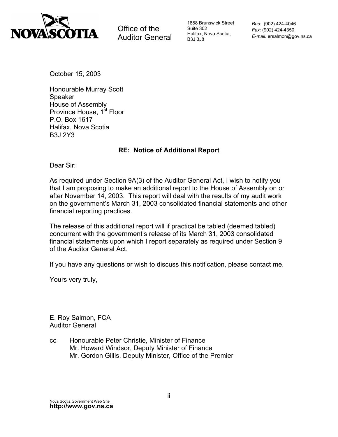

Office of the Auditor General

1888 Brunswick Street Suite 302 Halifax, Nova Scotia, B3J 3J8

*Bus:* (902) 424-4046 *Fax:* (902) 424-4350 *E-mail:* ersalmon@gov.ns.ca

October 15, 2003

Honourable Murray Scott Speaker House of Assembly Province House, 1<sup>st</sup> Floor P.O. Box 1617 Halifax, Nova Scotia B3J 2Y3

# **RE: Notice of Additional Report**

Dear Sir:

As required under Section 9A(3) of the Auditor General Act, I wish to notify you that I am proposing to make an additional report to the House of Assembly on or after November 14, 2003. This report will deal with the results of my audit work on the government's March 31, 2003 consolidated financial statements and other financial reporting practices.

The release of this additional report will if practical be tabled (deemed tabled) concurrent with the government's release of its March 31, 2003 consolidated financial statements upon which I report separately as required under Section 9 of the Auditor General Act.

If you have any questions or wish to discuss this notification, please contact me.

Yours very truly,

E. Roy Salmon, FCA Auditor General

cc Honourable Peter Christie, Minister of Finance Mr. Howard Windsor, Deputy Minister of Finance Mr. Gordon Gillis, Deputy Minister, Office of the Premier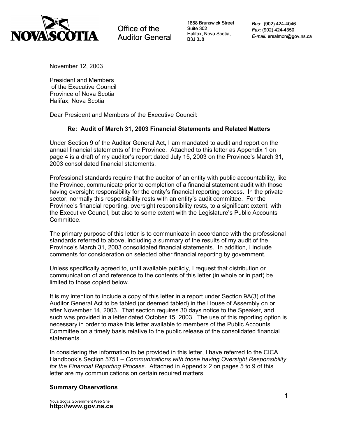

Office of the Auditor General

1888 Brunswick Street Suite 302 Halifax, Nova Scotia, B3J 3J8

*Bus:* (902) 424-4046 *Fax:* (902) 424-4350 *E-mail:* ersalmon@gov.ns.ca

November 12, 2003

President and Members of the Executive Council Province of Nova Scotia Halifax, Nova Scotia

Dear President and Members of the Executive Council:

### **Re: Audit of March 31, 2003 Financial Statements and Related Matters**

Under Section 9 of the Auditor General Act, I am mandated to audit and report on the annual financial statements of the Province. Attached to this letter as Appendix 1 on page 4 is a draft of my auditor's report dated July 15, 2003 on the Province's March 31, 2003 consolidated financial statements.

Professional standards require that the auditor of an entity with public accountability, like the Province, communicate prior to completion of a financial statement audit with those having oversight responsibility for the entity's financial reporting process. In the private sector, normally this responsibility rests with an entity's audit committee. For the Province's financial reporting, oversight responsibility rests, to a significant extent, with the Executive Council, but also to some extent with the Legislature's Public Accounts Committee.

The primary purpose of this letter is to communicate in accordance with the professional standards referred to above, including a summary of the results of my audit of the Province's March 31, 2003 consolidated financial statements. In addition, I include comments for consideration on selected other financial reporting by government.

Unless specifically agreed to, until available publicly, I request that distribution or communication of and reference to the contents of this letter (in whole or in part) be limited to those copied below.

It is my intention to include a copy of this letter in a report under Section 9A(3) of the Auditor General Act to be tabled (or deemed tabled) in the House of Assembly on or after November 14, 2003. That section requires 30 days notice to the Speaker, and such was provided in a letter dated October 15, 2003. The use of this reporting option is necessary in order to make this letter available to members of the Public Accounts Committee on a timely basis relative to the public release of the consolidated financial statements.

In considering the information to be provided in this letter, I have referred to the CICA Handbook's Section 5751 *– Communications with those having Oversight Responsibility for the Financial Reporting Process*. Attached in Appendix 2 on pages 5 to 9 of this letter are my communications on certain required matters.

### **Summary Observations**

Nova Scotia Government Web Site **http://www.gov.ns.ca**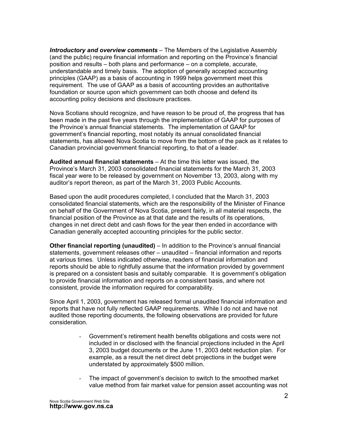*Introductory and overview comments* – The Members of the Legislative Assembly (and the public) require financial information and reporting on the Province's financial position and results – both plans and performance – on a complete, accurate, understandable and timely basis. The adoption of generally accepted accounting principles (GAAP) as a basis of accounting in 1999 helps government meet this requirement. The use of GAAP as a basis of accounting provides an authoritative foundation or source upon which government can both choose and defend its accounting policy decisions and disclosure practices.

Nova Scotians should recognize, and have reason to be proud of, the progress that has been made in the past five years through the implementation of GAAP for purposes of the Province's annual financial statements. The implementation of GAAP for government's financial reporting, most notably its annual consolidated financial statements, has allowed Nova Scotia to move from the bottom of the pack as it relates to Canadian provincial government financial reporting, to that of a leader.

**Audited annual financial statements** – At the time this letter was issued, the Province's March 31, 2003 consolidated financial statements for the March 31, 2003 fiscal year were to be released by government on November 13, 2003, along with my auditor's report thereon, as part of the March 31, 2003 Public Accounts.

Based upon the audit procedures completed, I concluded that the March 31, 2003 consolidated financial statements, which are the responsibility of the Minister of Finance on behalf of the Government of Nova Scotia, present fairly, in all material respects, the financial position of the Province as at that date and the results of its operations, changes in net direct debt and cash flows for the year then ended in accordance with Canadian generally accepted accounting principles for the public sector.

**Other financial reporting (unaudited)** – In addition to the Province's annual financial statements, government releases other – unaudited – financial information and reports at various times. Unless indicated otherwise, readers of financial information and reports should be able to rightfully assume that the information provided by government is prepared on a consistent basis and suitably comparable. It is government's obligation to provide financial information and reports on a consistent basis, and where not consistent, provide the information required for comparability.

Since April 1, 2003, government has released formal unaudited financial information and reports that have not fully reflected GAAP requirements. While I do not and have not audited those reporting documents, the following observations are provided for future consideration.

- Government's retirement health benefits obligations and costs were not included in or disclosed with the financial projections included in the April 3, 2003 budget documents or the June 11, 2003 debt reduction plan. For example, as a result the net direct debt projections in the budget were understated by approximately \$500 million.
- The impact of government's decision to switch to the smoothed market value method from fair market value for pension asset accounting was not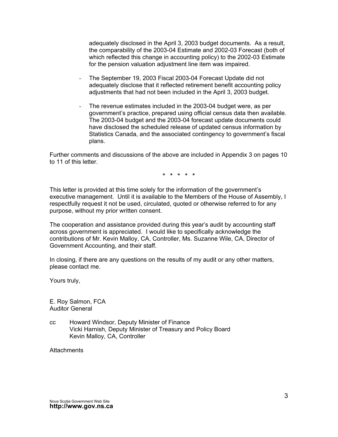adequately disclosed in the April 3, 2003 budget documents. As a result, the comparability of the 2003-04 Estimate and 2002-03 Forecast (both of which reflected this change in accounting policy) to the 2002-03 Estimate for the pension valuation adjustment line item was impaired.

- The September 19, 2003 Fiscal 2003-04 Forecast Update did not adequately disclose that it reflected retirement benefit accounting policy adjustments that had not been included in the April 3, 2003 budget.
- The revenue estimates included in the 2003-04 budget were, as per government's practice, prepared using official census data then available. The 2003-04 budget and the 2003-04 forecast update documents could have disclosed the scheduled release of updated census information by Statistics Canada, and the associated contingency to government's fiscal plans.

Further comments and discussions of the above are included in Appendix 3 on pages 10 to 11 of this letter.

**\* \* \* \* \*** 

This letter is provided at this time solely for the information of the government's executive management. Until it is available to the Members of the House of Assembly, I respectfully request it not be used, circulated, quoted or otherwise referred to for any purpose, without my prior written consent.

The cooperation and assistance provided during this year's audit by accounting staff across government is appreciated. I would like to specifically acknowledge the contributions of Mr. Kevin Malloy, CA, Controller, Ms. Suzanne Wile, CA, Director of Government Accounting, and their staff.

In closing, if there are any questions on the results of my audit or any other matters, please contact me.

Yours truly,

E. Roy Salmon, FCA Auditor General

cc Howard Windsor, Deputy Minister of Finance Vicki Harnish, Deputy Minister of Treasury and Policy Board Kevin Malloy, CA, Controller

**Attachments**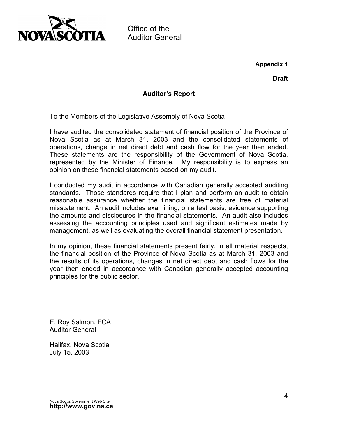

**Appendix 1** 

## **Draft**

# **Auditor's Report**

To the Members of the Legislative Assembly of Nova Scotia

I have audited the consolidated statement of financial position of the Province of Nova Scotia as at March 31, 2003 and the consolidated statements of operations, change in net direct debt and cash flow for the year then ended. These statements are the responsibility of the Government of Nova Scotia, represented by the Minister of Finance. My responsibility is to express an opinion on these financial statements based on my audit.

I conducted my audit in accordance with Canadian generally accepted auditing standards. Those standards require that I plan and perform an audit to obtain reasonable assurance whether the financial statements are free of material misstatement. An audit includes examining, on a test basis, evidence supporting the amounts and disclosures in the financial statements. An audit also includes assessing the accounting principles used and significant estimates made by management, as well as evaluating the overall financial statement presentation.

In my opinion, these financial statements present fairly, in all material respects, the financial position of the Province of Nova Scotia as at March 31, 2003 and the results of its operations, changes in net direct debt and cash flows for the year then ended in accordance with Canadian generally accepted accounting principles for the public sector.

E. Roy Salmon, FCA Auditor General

Halifax, Nova Scotia July 15, 2003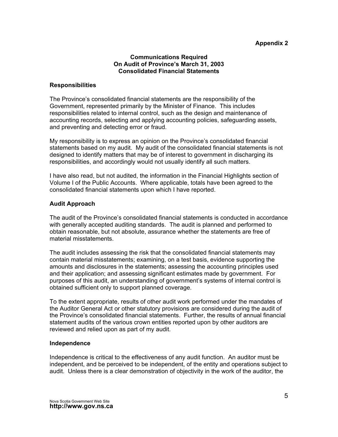#### **Appendix 2**

#### **Communications Required On Audit of Province's March 31, 2003 Consolidated Financial Statements**

#### **Responsibilities**

The Province's consolidated financial statements are the responsibility of the Government, represented primarily by the Minister of Finance. This includes responsibilities related to internal control, such as the design and maintenance of accounting records, selecting and applying accounting policies, safeguarding assets, and preventing and detecting error or fraud.

My responsibility is to express an opinion on the Province's consolidated financial statements based on my audit. My audit of the consolidated financial statements is not designed to identify matters that may be of interest to government in discharging its responsibilities, and accordingly would not usually identify all such matters.

I have also read, but not audited, the information in the Financial Highlights section of Volume I of the Public Accounts. Where applicable, totals have been agreed to the consolidated financial statements upon which I have reported.

#### **Audit Approach**

The audit of the Province's consolidated financial statements is conducted in accordance with generally accepted auditing standards. The audit is planned and performed to obtain reasonable, but not absolute, assurance whether the statements are free of material misstatements.

The audit includes assessing the risk that the consolidated financial statements may contain material misstatements; examining, on a test basis, evidence supporting the amounts and disclosures in the statements; assessing the accounting principles used and their application; and assessing significant estimates made by government. For purposes of this audit, an understanding of government's systems of internal control is obtained sufficient only to support planned coverage.

To the extent appropriate, results of other audit work performed under the mandates of the Auditor General Act or other statutory provisions are considered during the audit of the Province's consolidated financial statements. Further, the results of annual financial statement audits of the various crown entities reported upon by other auditors are reviewed and relied upon as part of my audit.

#### **Independence**

Independence is critical to the effectiveness of any audit function. An auditor must be independent, and be perceived to be independent, of the entity and operations subject to audit. Unless there is a clear demonstration of objectivity in the work of the auditor, the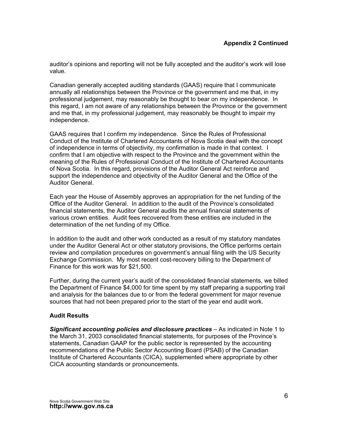auditor's opinions and reporting will not be fully accepted and the auditor's work will lose value.

Canadian generally accepted auditing standards (GAAS) require that I communicate annually all relationships between the Province or the government and me that, in my professional judgement, may reasonably be thought to bear on my independence. In this regard, I am not aware of any relationships between the Province or the government and me that, in my professional judgement, may reasonably be thought to impair my independence.

GAAS requires that I confirm my independence. Since the Rules of Professional Conduct of the Institute of Chartered Accountants of Nova Scotia deal with the concept of independence in terms of objectivity, my confirmation is made in that context. I confirm that I am objective with respect to the Province and the government within the meaning of the Rules of Professional Conduct of the Institute of Chartered Accountants of Nova Scotia. In this regard, provisions of the Auditor General Act reinforce and support the independence and objectivity of the Auditor General and the Office of the Auditor General.

Each year the House of Assembly approves an appropriation for the net funding of the Office of the Auditor General. In addition to the audit of the Province's consolidated financial statements, the Auditor General audits the annual financial statements of various crown entities. Audit fees recovered from these entities are included in the determination of the net funding of my Office.

In addition to the audit and other work conducted as a result of my statutory mandates under the Auditor General Act or other statutory provisions, the Office performs certain review and compilation procedures on government's annual filing with the US Security Exchange Commission. My most recent cost-recovery billing to the Department of Finance for this work was for \$21,500.

Further, during the current year's audit of the consolidated financial statements, we billed the Department of Finance \$4,000 for time spent by my staff preparing a supporting trail and analysis for the balances due to or from the federal government for major revenue sources that had not been prepared prior to the start of the year end audit work.

### **Audit Results**

*Significant accounting policies and disclosure practices* – As indicated in Note 1 to the March 31, 2003 consolidated financial statements, for purposes of the Province's statements, Canadian GAAP for the public sector is represented by the accounting recommendations of the Public Sector Accounting Board (PSAB) of the Canadian Institute of Chartered Accountants (CICA), supplemented where appropriate by other CICA accounting standards or pronouncements.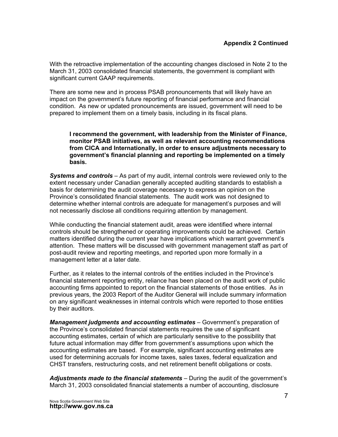With the retroactive implementation of the accounting changes disclosed in Note 2 to the March 31, 2003 consolidated financial statements, the government is compliant with significant current GAAP requirements.

There are some new and in process PSAB pronouncements that will likely have an impact on the government's future reporting of financial performance and financial condition. As new or updated pronouncements are issued, government will need to be prepared to implement them on a timely basis, including in its fiscal plans.

**I recommend the government, with leadership from the Minister of Finance, monitor PSAB initiatives, as well as relevant accounting recommendations from CICA and Internationally, in order to ensure adjustments necessary to government's financial planning and reporting be implemented on a timely basis.** 

*Systems and controls* – As part of my audit, internal controls were reviewed only to the extent necessary under Canadian generally accepted auditing standards to establish a basis for determining the audit coverage necessary to express an opinion on the Province's consolidated financial statements. The audit work was not designed to determine whether internal controls are adequate for management's purposes and will not necessarily disclose all conditions requiring attention by management.

While conducting the financial statement audit, areas were identified where internal controls should be strengthened or operating improvements could be achieved. Certain matters identified during the current year have implications which warrant government's attention. These matters will be discussed with government management staff as part of post-audit review and reporting meetings, and reported upon more formally in a management letter at a later date.

Further, as it relates to the internal controls of the entities included in the Province's financial statement reporting entity, reliance has been placed on the audit work of public accounting firms appointed to report on the financial statements of those entities. As in previous years, the 2003 Report of the Auditor General will include summary information on any significant weaknesses in internal controls which were reported to those entities by their auditors.

*Management judgments and accounting estimates* – Government's preparation of the Province's consolidated financial statements requires the use of significant accounting estimates, certain of which are particularly sensitive to the possibility that future actual information may differ from government's assumptions upon which the accounting estimates are based. For example, significant accounting estimates are used for determining accruals for income taxes, sales taxes, federal equalization and CHST transfers, restructuring costs, and net retirement benefit obligations or costs.

*Adjustments made to the financial statements* – During the audit of the government's March 31, 2003 consolidated financial statements a number of accounting, disclosure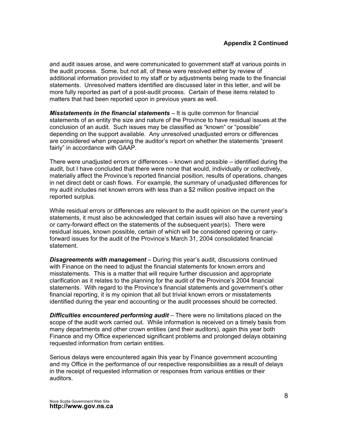and audit issues arose, and were communicated to government staff at various points in the audit process. Some, but not all, of these were resolved either by review of additional information provided to my staff or by adjustments being made to the financial statements. Unresolved matters identified are discussed later in this letter, and will be more fully reported as part of a post-audit process. Certain of these items related to matters that had been reported upon in previous years as well.

*Misstatements in the financial statements* – It is quite common for financial statements of an entity the size and nature of the Province to have residual issues at the conclusion of an audit. Such issues may be classified as "known" or "possible" depending on the support available. Any unresolved unadjusted errors or differences are considered when preparing the auditor's report on whether the statements "present fairly" in accordance with GAAP.

There were unadjusted errors or differences – known and possible – identified during the audit, but I have concluded that there were none that would, individually or collectively, materially affect the Province's reported financial position, results of operations, changes in net direct debt or cash flows. For example, the summary of unadjusted differences for my audit includes net known errors with less than a \$2 million positive impact on the reported surplus.

While residual errors or differences are relevant to the audit opinion on the current year's statements, it must also be acknowledged that certain issues will also have a reversing or carry-forward effect on the statements of the subsequent year(s). There were residual issues, known possible, certain of which will be considered opening or carryforward issues for the audit of the Province's March 31, 2004 consolidated financial statement.

*Disagreements with management* – During this year's audit, discussions continued with Finance on the need to adjust the financial statements for known errors and misstatements. This is a matter that will require further discussion and appropriate clarification as it relates to the planning for the audit of the Province's 2004 financial statements. With regard to the Province's financial statements and government's other financial reporting, it is my opinion that all but trivial known errors or misstatements identified during the year end accounting or the audit processes should be corrected.

*Difficulties encountered performing audit* – There were no limitations placed on the scope of the audit work carried out. While information is received on a timely basis from many departments and other crown entities (and their auditors), again this year both Finance and my Office experienced significant problems and prolonged delays obtaining requested information from certain entities.

Serious delays were encountered again this year by Finance government accounting and my Office in the performance of our respective responsibilities as a result of delays in the receipt of requested information or responses from various entities or their auditors.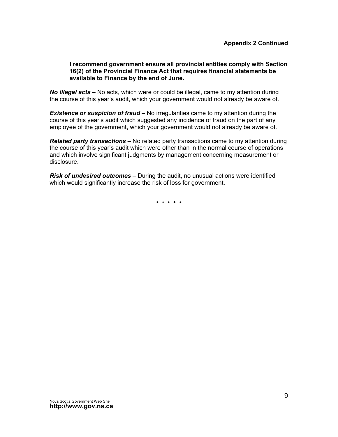#### **I recommend government ensure all provincial entities comply with Section 16(2) of the Provincial Finance Act that requires financial statements be available to Finance by the end of June.**

*No illegal acts* – No acts, which were or could be illegal, came to my attention during the course of this year's audit, which your government would not already be aware of.

*Existence or suspicion of fraud* – No irregularities came to my attention during the course of this year's audit which suggested any incidence of fraud on the part of any employee of the government, which your government would not already be aware of.

*Related party transactions* – No related party transactions came to my attention during the course of this year's audit which were other than in the normal course of operations and which involve significant judgments by management concerning measurement or disclosure.

*Risk of undesired outcomes* – During the audit, no unusual actions were identified which would significantly increase the risk of loss for government.

**\* \* \* \* \***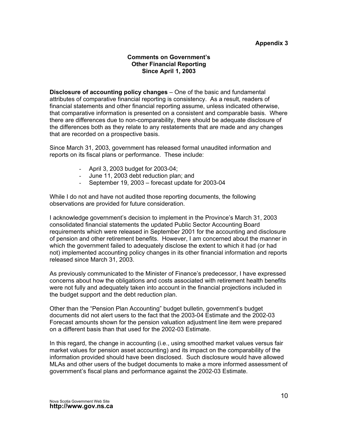#### **Appendix 3**

#### **Comments on Government's Other Financial Reporting Since April 1, 2003**

**Disclosure of accounting policy changes** – One of the basic and fundamental attributes of comparative financial reporting is consistency. As a result, readers of financial statements and other financial reporting assume, unless indicated otherwise, that comparative information is presented on a consistent and comparable basis. Where there are differences due to non-comparability, there should be adequate disclosure of the differences both as they relate to any restatements that are made and any changes that are recorded on a prospective basis.

Since March 31, 2003, government has released formal unaudited information and reports on its fiscal plans or performance. These include:

- April 3, 2003 budget for 2003-04;
- June 11, 2003 debt reduction plan; and
- September 19, 2003 forecast update for 2003-04

While I do not and have not audited those reporting documents, the following observations are provided for future consideration.

I acknowledge government's decision to implement in the Province's March 31, 2003 consolidated financial statements the updated Public Sector Accounting Board requirements which were released in September 2001 for the accounting and disclosure of pension and other retirement benefits. However, I am concerned about the manner in which the government failed to adequately disclose the extent to which it had (or had not) implemented accounting policy changes in its other financial information and reports released since March 31, 2003.

As previously communicated to the Minister of Finance's predecessor, I have expressed concerns about how the obligations and costs associated with retirement health benefits were not fully and adequately taken into account in the financial projections included in the budget support and the debt reduction plan.

Other than the "Pension Plan Accounting" budget bulletin, government's budget documents did not alert users to the fact that the 2003-04 Estimate and the 2002-03 Forecast amounts shown for the pension valuation adjustment line item were prepared on a different basis than that used for the 2002-03 Estimate.

In this regard, the change in accounting (i.e., using smoothed market values versus fair market values for pension asset accounting) and its impact on the comparability of the information provided should have been disclosed. Such disclosure would have allowed MLAs and other users of the budget documents to make a more informed assessment of government's fiscal plans and performance against the 2002-03 Estimate.